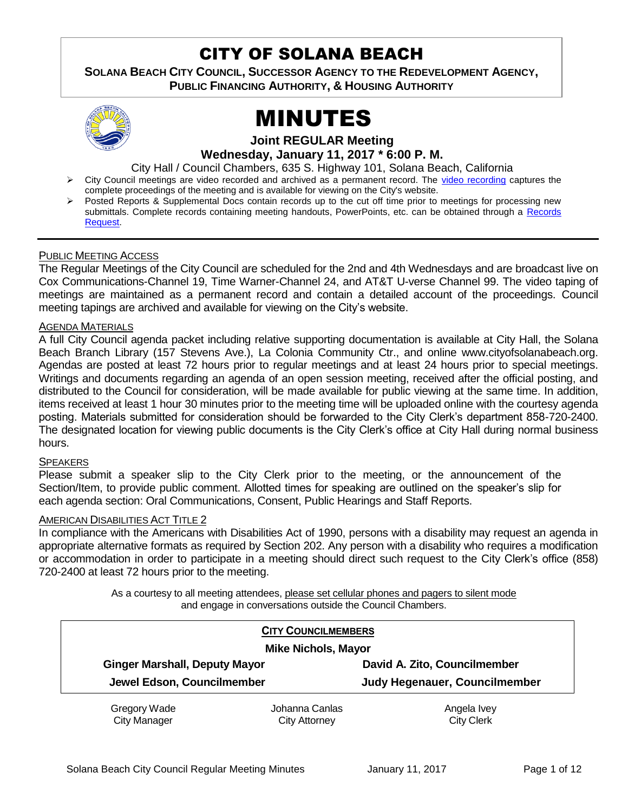# CITY OF SOLANA BEACH

**SOLANA BEACH CITY COUNCIL, SUCCESSOR AGENCY TO THE REDEVELOPMENT AGENCY, PUBLIC FINANCING AUTHORITY, & HOUSING AUTHORITY** 



# MINUTES

#### **Joint REGULAR Meeting Wednesday, January 11, 2017 \* 6:00 P. M.**

City Hall / Council Chambers, 635 S. Highway 101, Solana Beach, California

- > City Council meetings are video recorded and archived as a permanent record. The [video recording](https://solanabeach.12milesout.com/video/meeting/8d7dc420-2ba6-40f1-b925-82485f93e827) captures the complete proceedings of the meeting and is available for viewing on the City's website.
- Posted Reports & Supplemental Docs contain records up to the cut off time prior to meetings for processing new submittals. Complete records containing meeting handouts, PowerPoints, etc. can be obtained through a Records [Request.](http://www.ci.solana-beach.ca.us/index.asp?SEC=F5D45D10-70CE-4291-A27C-7BD633FC6742&Type=B_BASIC)

#### PUBLIC MEETING ACCESS

The Regular Meetings of the City Council are scheduled for the 2nd and 4th Wednesdays and are broadcast live on Cox Communications-Channel 19, Time Warner-Channel 24, and AT&T U-verse Channel 99. The video taping of meetings are maintained as a permanent record and contain a detailed account of the proceedings. Council meeting tapings are archived and available for viewing on the City's website.

#### AGENDA MATERIALS

A full City Council agenda packet including relative supporting documentation is available at City Hall, the Solana Beach Branch Library (157 Stevens Ave.), La Colonia Community Ctr., and online www.cityofsolanabeach.org. Agendas are posted at least 72 hours prior to regular meetings and at least 24 hours prior to special meetings. Writings and documents regarding an agenda of an open session meeting, received after the official posting, and distributed to the Council for consideration, will be made available for public viewing at the same time. In addition, items received at least 1 hour 30 minutes prior to the meeting time will be uploaded online with the courtesy agenda posting. Materials submitted for consideration should be forwarded to the City Clerk's department 858-720-2400. The designated location for viewing public documents is the City Clerk's office at City Hall during normal business hours.

#### **SPEAKERS**

Please submit a speaker slip to the City Clerk prior to the meeting, or the announcement of the Section/Item, to provide public comment. Allotted times for speaking are outlined on the speaker's slip for each agenda section: Oral Communications, Consent, Public Hearings and Staff Reports.

#### AMERICAN DISABILITIES ACT TITLE 2

In compliance with the Americans with Disabilities Act of 1990, persons with a disability may request an agenda in appropriate alternative formats as required by Section 202. Any person with a disability who requires a modification or accommodation in order to participate in a meeting should direct such request to the City Clerk's office (858) 720-2400 at least 72 hours prior to the meeting.

> As a courtesy to all meeting attendees, please set cellular phones and pagers to silent mode and engage in conversations outside the Council Chambers.

|  |                                                                    | <b>CITY COUNCILMEMBERS</b> |                                                               |  |
|--|--------------------------------------------------------------------|----------------------------|---------------------------------------------------------------|--|
|  | <b>Mike Nichols, Mayor</b>                                         |                            |                                                               |  |
|  | <b>Ginger Marshall, Deputy Mayor</b><br>Jewel Edson, Councilmember |                            | David A. Zito, Councilmember<br>Judy Hegenauer, Councilmember |  |
|  |                                                                    |                            |                                                               |  |
|  | Gregory Wade                                                       | Johanna Canlas             | Angela Ivey                                                   |  |
|  | <b>City Manager</b>                                                | City Attorney              | <b>City Clerk</b>                                             |  |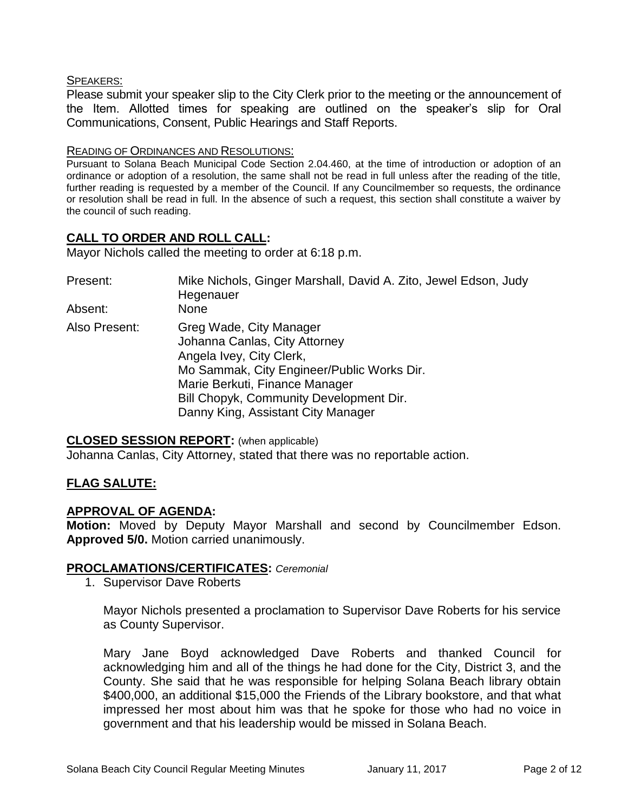#### SPEAKERS:

Please submit your speaker slip to the City Clerk prior to the meeting or the announcement of the Item. Allotted times for speaking are outlined on the speaker's slip for Oral Communications, Consent, Public Hearings and Staff Reports.

#### READING OF ORDINANCES AND RESOLUTIONS:

Pursuant to Solana Beach Municipal Code Section 2.04.460, at the time of introduction or adoption of an ordinance or adoption of a resolution, the same shall not be read in full unless after the reading of the title, further reading is requested by a member of the Council. If any Councilmember so requests, the ordinance or resolution shall be read in full. In the absence of such a request, this section shall constitute a waiver by the council of such reading.

### **CALL TO ORDER AND ROLL CALL:**

Mayor Nichols called the meeting to order at 6:18 p.m.

| Present:<br>Absent: | Mike Nichols, Ginger Marshall, David A. Zito, Jewel Edson, Judy<br>Hegenauer<br><b>None</b>                                                                                                                                                           |
|---------------------|-------------------------------------------------------------------------------------------------------------------------------------------------------------------------------------------------------------------------------------------------------|
| Also Present:       | Greg Wade, City Manager<br>Johanna Canlas, City Attorney<br>Angela Ivey, City Clerk,<br>Mo Sammak, City Engineer/Public Works Dir.<br>Marie Berkuti, Finance Manager<br>Bill Chopyk, Community Development Dir.<br>Danny King, Assistant City Manager |

#### **CLOSED SESSION REPORT:** (when applicable)

Johanna Canlas, City Attorney, stated that there was no reportable action.

### **FLAG SALUTE:**

### **APPROVAL OF AGENDA:**

**Motion:** Moved by Deputy Mayor Marshall and second by Councilmember Edson. **Approved 5/0.** Motion carried unanimously.

### **PROCLAMATIONS/CERTIFICATES:** *Ceremonial*

1. Supervisor Dave Roberts

Mayor Nichols presented a proclamation to Supervisor Dave Roberts for his service as County Supervisor.

Mary Jane Boyd acknowledged Dave Roberts and thanked Council for acknowledging him and all of the things he had done for the City, District 3, and the County. She said that he was responsible for helping Solana Beach library obtain \$400,000, an additional \$15,000 the Friends of the Library bookstore, and that what impressed her most about him was that he spoke for those who had no voice in government and that his leadership would be missed in Solana Beach.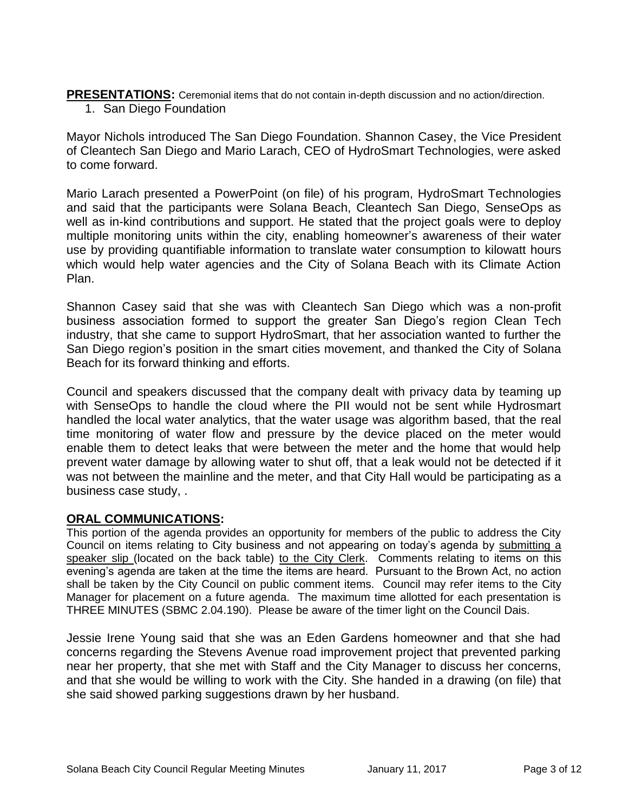**PRESENTATIONS:** Ceremonial items that do not contain in-depth discussion and no action/direction.

1. San Diego Foundation

Mayor Nichols introduced The San Diego Foundation. Shannon Casey, the Vice President of Cleantech San Diego and Mario Larach, CEO of HydroSmart Technologies, were asked to come forward.

Mario Larach presented a PowerPoint (on file) of his program, HydroSmart Technologies and said that the participants were Solana Beach, Cleantech San Diego, SenseOps as well as in-kind contributions and support. He stated that the project goals were to deploy multiple monitoring units within the city, enabling homeowner's awareness of their water use by providing quantifiable information to translate water consumption to kilowatt hours which would help water agencies and the City of Solana Beach with its Climate Action Plan.

Shannon Casey said that she was with Cleantech San Diego which was a non-profit business association formed to support the greater San Diego's region Clean Tech industry, that she came to support HydroSmart, that her association wanted to further the San Diego region's position in the smart cities movement, and thanked the City of Solana Beach for its forward thinking and efforts.

Council and speakers discussed that the company dealt with privacy data by teaming up with SenseOps to handle the cloud where the PII would not be sent while Hydrosmart handled the local water analytics, that the water usage was algorithm based, that the real time monitoring of water flow and pressure by the device placed on the meter would enable them to detect leaks that were between the meter and the home that would help prevent water damage by allowing water to shut off, that a leak would not be detected if it was not between the mainline and the meter, and that City Hall would be participating as a business case study, .

# **ORAL COMMUNICATIONS:**

This portion of the agenda provides an opportunity for members of the public to address the City Council on items relating to City business and not appearing on today's agenda by submitting a speaker slip (located on the back table) to the City Clerk. Comments relating to items on this evening's agenda are taken at the time the items are heard. Pursuant to the Brown Act, no action shall be taken by the City Council on public comment items. Council may refer items to the City Manager for placement on a future agenda. The maximum time allotted for each presentation is THREE MINUTES (SBMC 2.04.190). Please be aware of the timer light on the Council Dais.

Jessie Irene Young said that she was an Eden Gardens homeowner and that she had concerns regarding the Stevens Avenue road improvement project that prevented parking near her property, that she met with Staff and the City Manager to discuss her concerns, and that she would be willing to work with the City. She handed in a drawing (on file) that she said showed parking suggestions drawn by her husband.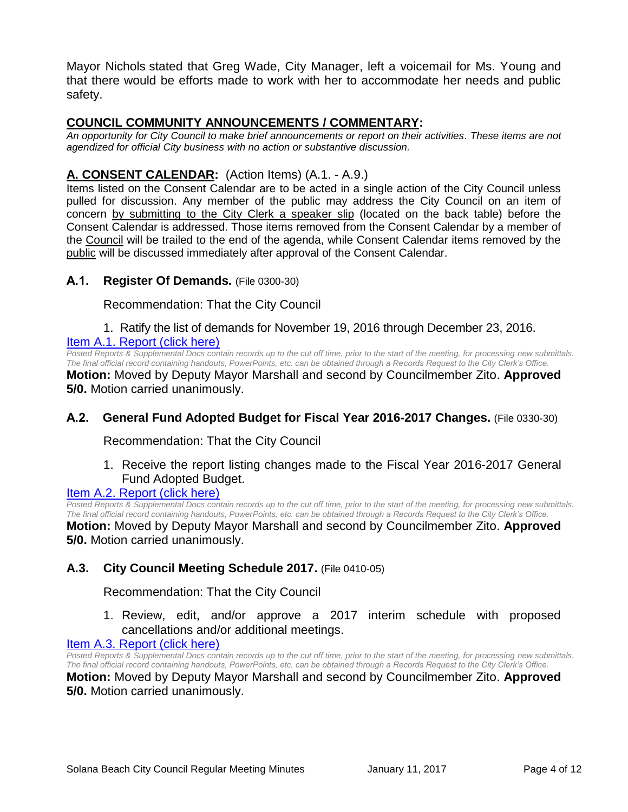Mayor Nichols stated that Greg Wade, City Manager, left a voicemail for Ms. Young and that there would be efforts made to work with her to accommodate her needs and public safety.

# **COUNCIL COMMUNITY ANNOUNCEMENTS / COMMENTARY:**

*An opportunity for City Council to make brief announcements or report on their activities. These items are not agendized for official City business with no action or substantive discussion.* 

# **A. CONSENT CALENDAR:** (Action Items) (A.1. - A.9.)

Items listed on the Consent Calendar are to be acted in a single action of the City Council unless pulled for discussion. Any member of the public may address the City Council on an item of concern by submitting to the City Clerk a speaker slip (located on the back table) before the Consent Calendar is addressed. Those items removed from the Consent Calendar by a member of the Council will be trailed to the end of the agenda, while Consent Calendar items removed by the public will be discussed immediately after approval of the Consent Calendar.

### **A.1. Register Of Demands.** (File 0300-30)

Recommendation: That the City Council

1. Ratify the list of demands for November 19, 2016 through December 23, 2016. [Item A.1. Report \(click here\)](https://solanabeach.govoffice3.com/vertical/Sites/%7B840804C2-F869-4904-9AE3-720581350CE7%7D/uploads/Item_A.1._Report_(click_here)_01-11-17.PDF)

*Posted Reports & Supplemental Docs contain records up to the cut off time, prior to the start of the meeting, for processing new submittals. The final official record containing handouts, PowerPoints, etc. can be obtained through a Records Request to the City Clerk's Office.*

**Motion:** Moved by Deputy Mayor Marshall and second by Councilmember Zito. **Approved 5/0.** Motion carried unanimously.

### **A.2. General Fund Adopted Budget for Fiscal Year 2016-2017 Changes.** (File 0330-30)

Recommendation: That the City Council

1. Receive the report listing changes made to the Fiscal Year 2016-2017 General Fund Adopted Budget.

#### [Item A.2. Report \(click here\)](https://solanabeach.govoffice3.com/vertical/Sites/%7B840804C2-F869-4904-9AE3-720581350CE7%7D/uploads/Item_A.2._Report_(click_here)_01-11-17.PDF)

*Posted Reports & Supplemental Docs contain records up to the cut off time, prior to the start of the meeting, for processing new submittals. The final official record containing handouts, PowerPoints, etc. can be obtained through a Records Request to the City Clerk's Office.*

**Motion:** Moved by Deputy Mayor Marshall and second by Councilmember Zito. **Approved 5/0.** Motion carried unanimously.

### **A.3. City Council Meeting Schedule 2017.** (File 0410-05)

Recommendation: That the City Council

1. Review, edit, and/or approve a 2017 interim schedule with proposed cancellations and/or additional meetings.

# [Item A.3. Report \(click here\)](https://solanabeach.govoffice3.com/vertical/Sites/%7B840804C2-F869-4904-9AE3-720581350CE7%7D/uploads/Item_A.3._Report_(click_here)_01-11-17.PDF)

*Posted Reports & Supplemental Docs contain records up to the cut off time, prior to the start of the meeting, for processing new submittals. The final official record containing handouts, PowerPoints, etc. can be obtained through a Records Request to the City Clerk's Office.*

**Motion:** Moved by Deputy Mayor Marshall and second by Councilmember Zito. **Approved 5/0.** Motion carried unanimously.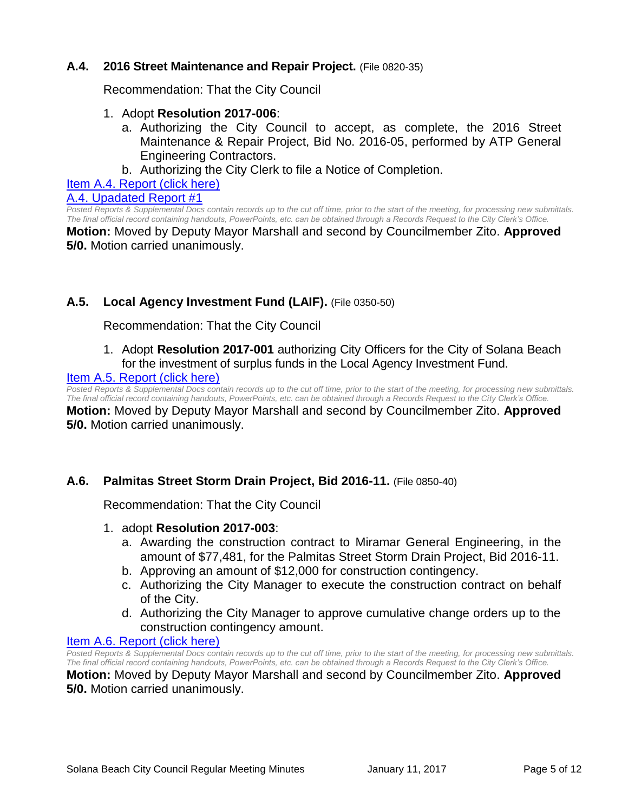### **A.4. 2016 Street Maintenance and Repair Project.** (File 0820-35)

Recommendation: That the City Council

#### 1. Adopt **Resolution 2017-006**:

- a. Authorizing the City Council to accept, as complete, the 2016 Street Maintenance & Repair Project, Bid No. 2016-05, performed by ATP General Engineering Contractors.
- b. Authorizing the City Clerk to file a Notice of Completion.

[Item A.4. Report \(click here\)](https://solanabeach.govoffice3.com/vertical/Sites/%7B840804C2-F869-4904-9AE3-720581350CE7%7D/uploads/Item_A.4._Report_(click_here)_01-11-17.PDF)

[A.4. Upadated Report #1](https://solanabeach.govoffice3.com/vertical/Sites/%7B840804C2-F869-4904-9AE3-720581350CE7%7D/uploads/A.4._Updated_Report_1_-_01-11-17.pdf)

*Posted Reports & Supplemental Docs contain records up to the cut off time, prior to the start of the meeting, for processing new submittals. The final official record containing handouts, PowerPoints, etc. can be obtained through a Records Request to the City Clerk's Office.*

**Motion:** Moved by Deputy Mayor Marshall and second by Councilmember Zito. **Approved 5/0.** Motion carried unanimously.

# **A.5. Local Agency Investment Fund (LAIF).** (File 0350-50)

Recommendation: That the City Council

1. Adopt **Resolution 2017-001** authorizing City Officers for the City of Solana Beach for the investment of surplus funds in the Local Agency Investment Fund.

#### [Item A.5. Report \(click here\)](https://solanabeach.govoffice3.com/vertical/Sites/%7B840804C2-F869-4904-9AE3-720581350CE7%7D/uploads/Item_A.5._Report_(click_here)_01-11-17.PDF)

*Posted Reports & Supplemental Docs contain records up to the cut off time, prior to the start of the meeting, for processing new submittals. The final official record containing handouts, PowerPoints, etc. can be obtained through a Records Request to the City Clerk's Office.* **Motion:** Moved by Deputy Mayor Marshall and second by Councilmember Zito. **Approved 5/0.** Motion carried unanimously.

### **A.6. Palmitas Street Storm Drain Project, Bid 2016-11.** (File 0850-40)

Recommendation: That the City Council

- 1. adopt **Resolution 2017-003**:
	- a. Awarding the construction contract to Miramar General Engineering, in the amount of \$77,481, for the Palmitas Street Storm Drain Project, Bid 2016-11.
	- b. Approving an amount of \$12,000 for construction contingency.
	- c. Authorizing the City Manager to execute the construction contract on behalf of the City.
	- d. Authorizing the City Manager to approve cumulative change orders up to the construction contingency amount.

#### [Item A.6. Report \(click here\)](https://solanabeach.govoffice3.com/vertical/Sites/%7B840804C2-F869-4904-9AE3-720581350CE7%7D/uploads/Item_A.6._Report_(click_here)_01-11-17.PDF)

*Posted Reports & Supplemental Docs contain records up to the cut off time, prior to the start of the meeting, for processing new submittals. The final official record containing handouts, PowerPoints, etc. can be obtained through a Records Request to the City Clerk's Office.*

**Motion:** Moved by Deputy Mayor Marshall and second by Councilmember Zito. **Approved 5/0.** Motion carried unanimously.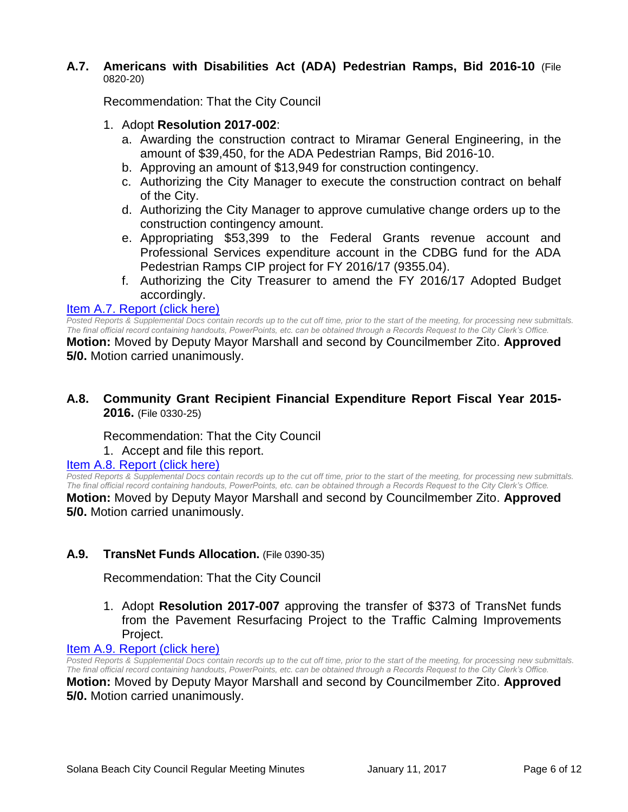#### **A.7. Americans with Disabilities Act (ADA) Pedestrian Ramps, Bid 2016-10** (File 0820-20)

Recommendation: That the City Council

- 1. Adopt **Resolution 2017-002**:
	- a. Awarding the construction contract to Miramar General Engineering, in the amount of \$39,450, for the ADA Pedestrian Ramps, Bid 2016-10.
	- b. Approving an amount of \$13,949 for construction contingency.
	- c. Authorizing the City Manager to execute the construction contract on behalf of the City.
	- d. Authorizing the City Manager to approve cumulative change orders up to the construction contingency amount.
	- e. Appropriating \$53,399 to the Federal Grants revenue account and Professional Services expenditure account in the CDBG fund for the ADA Pedestrian Ramps CIP project for FY 2016/17 (9355.04).
	- f. Authorizing the City Treasurer to amend the FY 2016/17 Adopted Budget accordingly.

#### [Item A.7. Report \(click here\)](https://solanabeach.govoffice3.com/vertical/Sites/%7B840804C2-F869-4904-9AE3-720581350CE7%7D/uploads/Item_A.7._Report_(click_here)_01-11-17.PDF)

*Posted Reports & Supplemental Docs contain records up to the cut off time, prior to the start of the meeting, for processing new submittals. The final official record containing handouts, PowerPoints, etc. can be obtained through a Records Request to the City Clerk's Office.* **Motion:** Moved by Deputy Mayor Marshall and second by Councilmember Zito. **Approved** 

**5/0.** Motion carried unanimously.

#### **A.8. Community Grant Recipient Financial Expenditure Report Fiscal Year 2015- 2016.** (File 0330-25)

Recommendation: That the City Council

1. Accept and file this report.

#### [Item A.8. Report \(click here\)](https://solanabeach.govoffice3.com/vertical/Sites/%7B840804C2-F869-4904-9AE3-720581350CE7%7D/uploads/Item_A.8._Report_(click_here)_01-11-17.PDF)

*Posted Reports & Supplemental Docs contain records up to the cut off time, prior to the start of the meeting, for processing new submittals. The final official record containing handouts, PowerPoints, etc. can be obtained through a Records Request to the City Clerk's Office.*

**Motion:** Moved by Deputy Mayor Marshall and second by Councilmember Zito. **Approved 5/0.** Motion carried unanimously.

### **A.9. TransNet Funds Allocation.** (File 0390-35)

Recommendation: That the City Council

1. Adopt **Resolution 2017-007** approving the transfer of \$373 of TransNet funds from the Pavement Resurfacing Project to the Traffic Calming Improvements Project.

#### [Item A.9. Report \(click here\)](https://solanabeach.govoffice3.com/vertical/Sites/%7B840804C2-F869-4904-9AE3-720581350CE7%7D/uploads/Item_A.9._Report_(click_here)_01-11-17.PDF)

*Posted Reports & Supplemental Docs contain records up to the cut off time, prior to the start of the meeting, for processing new submittals. The final official record containing handouts, PowerPoints, etc. can be obtained through a Records Request to the City Clerk's Office.* **Motion:** Moved by Deputy Mayor Marshall and second by Councilmember Zito. **Approved 5/0.** Motion carried unanimously.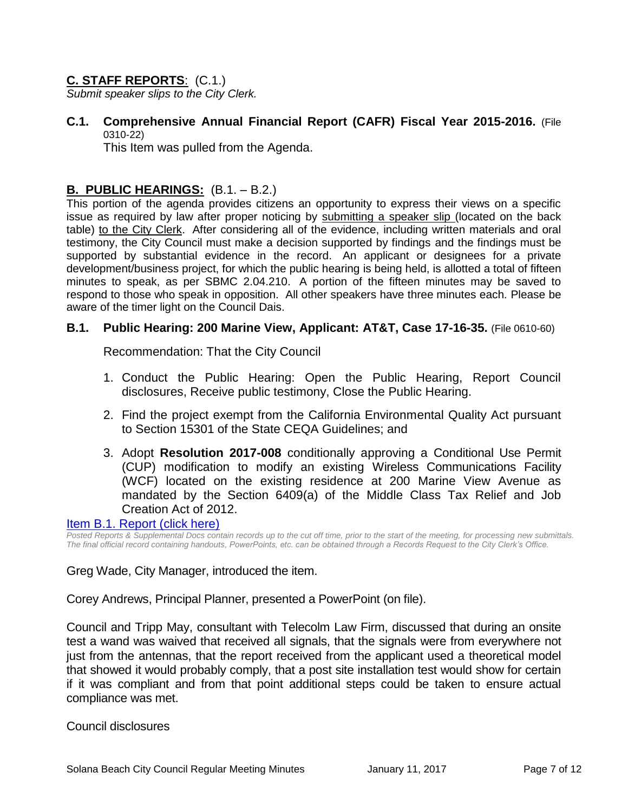# **C. STAFF REPORTS**: (C.1.)

*Submit speaker slips to the City Clerk.*

**C.1. Comprehensive Annual Financial Report (CAFR) Fiscal Year 2015-2016.** (File 0310-22)

This Item was pulled from the Agenda.

# **B. PUBLIC HEARINGS:** (B.1. – B.2.)

This portion of the agenda provides citizens an opportunity to express their views on a specific issue as required by law after proper noticing by submitting a speaker slip (located on the back table) to the City Clerk. After considering all of the evidence, including written materials and oral testimony, the City Council must make a decision supported by findings and the findings must be supported by substantial evidence in the record. An applicant or designees for a private development/business project, for which the public hearing is being held, is allotted a total of fifteen minutes to speak, as per SBMC 2.04.210. A portion of the fifteen minutes may be saved to respond to those who speak in opposition. All other speakers have three minutes each. Please be aware of the timer light on the Council Dais.

#### **B.1. Public Hearing: 200 Marine View, Applicant: AT&T, Case 17-16-35.** (File 0610-60)

Recommendation: That the City Council

- 1. Conduct the Public Hearing: Open the Public Hearing, Report Council disclosures, Receive public testimony, Close the Public Hearing.
- 2. Find the project exempt from the California Environmental Quality Act pursuant to Section 15301 of the State CEQA Guidelines; and
- 3. Adopt **Resolution 2017-008** conditionally approving a Conditional Use Permit (CUP) modification to modify an existing Wireless Communications Facility (WCF) located on the existing residence at 200 Marine View Avenue as mandated by the Section 6409(a) of the Middle Class Tax Relief and Job Creation Act of 2012.

#### [Item B.1. Report \(click here\)](https://solanabeach.govoffice3.com/vertical/Sites/%7B840804C2-F869-4904-9AE3-720581350CE7%7D/uploads/Item_B.1._Report_(click_here)_01-11-17.PDF)

*Posted Reports & Supplemental Docs contain records up to the cut off time, prior to the start of the meeting, for processing new submittals. The final official record containing handouts, PowerPoints, etc. can be obtained through a Records Request to the City Clerk's Office.*

Greg Wade, City Manager, introduced the item.

Corey Andrews, Principal Planner, presented a PowerPoint (on file).

Council and Tripp May, consultant with Telecolm Law Firm, discussed that during an onsite test a wand was waived that received all signals, that the signals were from everywhere not just from the antennas, that the report received from the applicant used a theoretical model that showed it would probably comply, that a post site installation test would show for certain if it was compliant and from that point additional steps could be taken to ensure actual compliance was met.

#### Council disclosures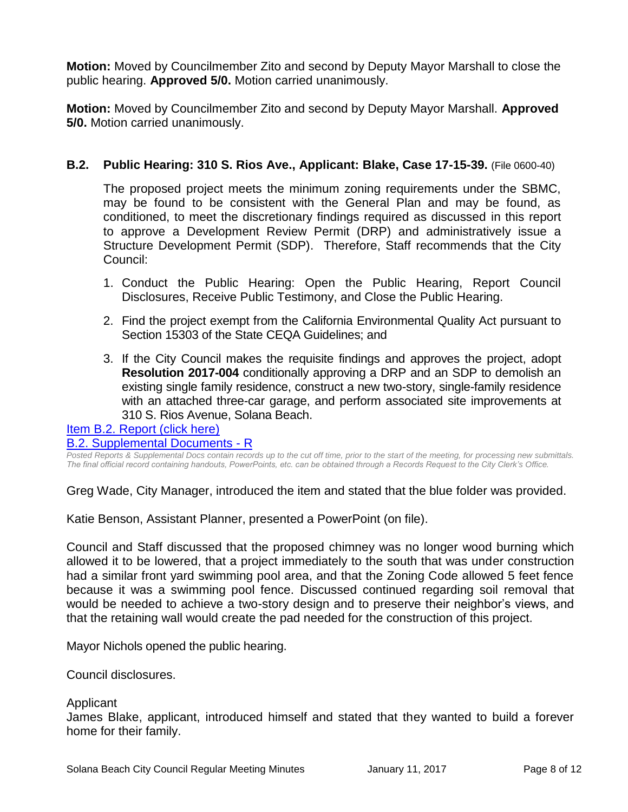**Motion:** Moved by Councilmember Zito and second by Deputy Mayor Marshall to close the public hearing. **Approved 5/0.** Motion carried unanimously.

**Motion:** Moved by Councilmember Zito and second by Deputy Mayor Marshall. **Approved 5/0.** Motion carried unanimously.

# **B.2. Public Hearing: 310 S. Rios Ave., Applicant: Blake, Case 17-15-39.** (File 0600-40)

The proposed project meets the minimum zoning requirements under the SBMC, may be found to be consistent with the General Plan and may be found, as conditioned, to meet the discretionary findings required as discussed in this report to approve a Development Review Permit (DRP) and administratively issue a Structure Development Permit (SDP). Therefore, Staff recommends that the City Council:

- 1. Conduct the Public Hearing: Open the Public Hearing, Report Council Disclosures, Receive Public Testimony, and Close the Public Hearing.
- 2. Find the project exempt from the California Environmental Quality Act pursuant to Section 15303 of the State CEQA Guidelines; and
- 3. If the City Council makes the requisite findings and approves the project, adopt **Resolution 2017-004** conditionally approving a DRP and an SDP to demolish an existing single family residence, construct a new two-story, single-family residence with an attached three-car garage, and perform associated site improvements at 310 S. Rios Avenue, Solana Beach.

[Item B.2. Report \(click here\)](https://solanabeach.govoffice3.com/vertical/Sites/%7B840804C2-F869-4904-9AE3-720581350CE7%7D/uploads/Item_B.2._Report_(click_here)_01-11-17.PDF)

[B.2. Supplemental Documents -](https://solanabeach.govoffice3.com/vertical/Sites/%7B840804C2-F869-4904-9AE3-720581350CE7%7D/uploads/B.2._Supplemental_Documents_-_R_1-11-17.pdf) R

*Posted Reports & Supplemental Docs contain records up to the cut off time, prior to the start of the meeting, for processing new submittals. The final official record containing handouts, PowerPoints, etc. can be obtained through a Records Request to the City Clerk's Office.*

Greg Wade, City Manager, introduced the item and stated that the blue folder was provided.

Katie Benson, Assistant Planner, presented a PowerPoint (on file).

Council and Staff discussed that the proposed chimney was no longer wood burning which allowed it to be lowered, that a project immediately to the south that was under construction had a similar front yard swimming pool area, and that the Zoning Code allowed 5 feet fence because it was a swimming pool fence. Discussed continued regarding soil removal that would be needed to achieve a two-story design and to preserve their neighbor's views, and that the retaining wall would create the pad needed for the construction of this project.

Mayor Nichols opened the public hearing.

Council disclosures.

#### Applicant

James Blake, applicant, introduced himself and stated that they wanted to build a forever home for their family.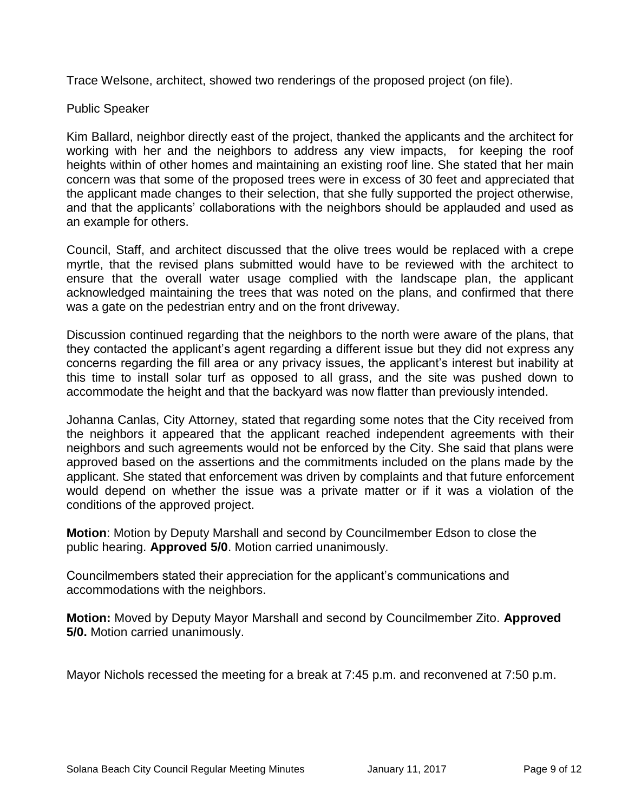Trace Welsone, architect, showed two renderings of the proposed project (on file).

# Public Speaker

Kim Ballard, neighbor directly east of the project, thanked the applicants and the architect for working with her and the neighbors to address any view impacts, for keeping the roof heights within of other homes and maintaining an existing roof line. She stated that her main concern was that some of the proposed trees were in excess of 30 feet and appreciated that the applicant made changes to their selection, that she fully supported the project otherwise, and that the applicants' collaborations with the neighbors should be applauded and used as an example for others.

Council, Staff, and architect discussed that the olive trees would be replaced with a crepe myrtle, that the revised plans submitted would have to be reviewed with the architect to ensure that the overall water usage complied with the landscape plan, the applicant acknowledged maintaining the trees that was noted on the plans, and confirmed that there was a gate on the pedestrian entry and on the front driveway.

Discussion continued regarding that the neighbors to the north were aware of the plans, that they contacted the applicant's agent regarding a different issue but they did not express any concerns regarding the fill area or any privacy issues, the applicant's interest but inability at this time to install solar turf as opposed to all grass, and the site was pushed down to accommodate the height and that the backyard was now flatter than previously intended.

Johanna Canlas, City Attorney, stated that regarding some notes that the City received from the neighbors it appeared that the applicant reached independent agreements with their neighbors and such agreements would not be enforced by the City. She said that plans were approved based on the assertions and the commitments included on the plans made by the applicant. She stated that enforcement was driven by complaints and that future enforcement would depend on whether the issue was a private matter or if it was a violation of the conditions of the approved project.

**Motion**: Motion by Deputy Marshall and second by Councilmember Edson to close the public hearing. **Approved 5/0**. Motion carried unanimously.

Councilmembers stated their appreciation for the applicant's communications and accommodations with the neighbors.

**Motion:** Moved by Deputy Mayor Marshall and second by Councilmember Zito. **Approved 5/0.** Motion carried unanimously.

Mayor Nichols recessed the meeting for a break at 7:45 p.m. and reconvened at 7:50 p.m.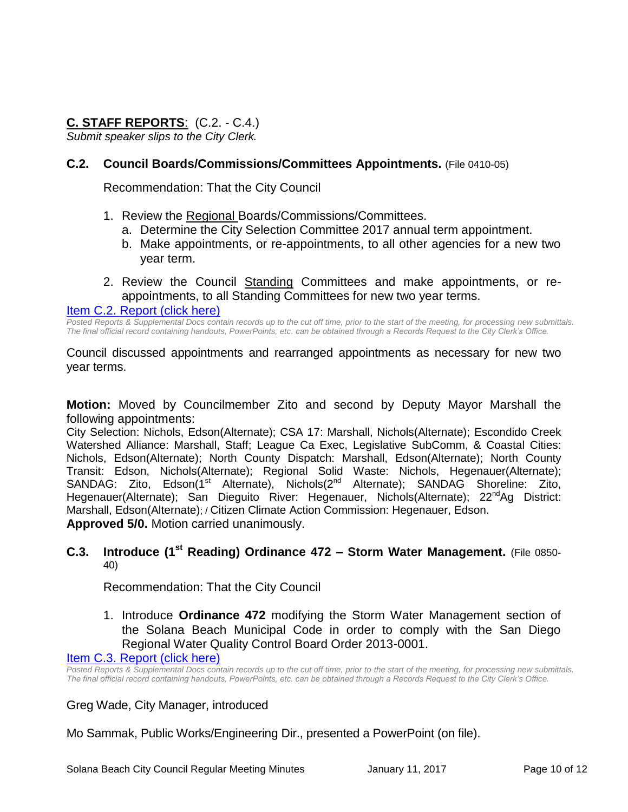# **C. STAFF REPORTS**: (C.2. - C.4.)

*Submit speaker slips to the City Clerk.*

# **C.2. Council Boards/Commissions/Committees Appointments.** (File 0410-05)

Recommendation: That the City Council

- 1. Review the Regional Boards/Commissions/Committees.
	- a. Determine the City Selection Committee 2017 annual term appointment.
	- b. Make appointments, or re-appointments, to all other agencies for a new two year term.
- 2. Review the Council Standing Committees and make appointments, or reappointments, to all Standing Committees for new two year terms.

#### [Item C.2. Report \(click here\)](https://solanabeach.govoffice3.com/vertical/Sites/%7B840804C2-F869-4904-9AE3-720581350CE7%7D/uploads/Item_C.2._Report_(click_here)_01-11-17.PDF)

*Posted Reports & Supplemental Docs contain records up to the cut off time, prior to the start of the meeting, for processing new submittals. The final official record containing handouts, PowerPoints, etc. can be obtained through a Records Request to the City Clerk's Office.*

Council discussed appointments and rearranged appointments as necessary for new two year terms.

**Motion:** Moved by Councilmember Zito and second by Deputy Mayor Marshall the following appointments:

City Selection: Nichols, Edson(Alternate); CSA 17: Marshall, Nichols(Alternate); Escondido Creek Watershed Alliance: Marshall, Staff; League Ca Exec, Legislative SubComm, & Coastal Cities: Nichols, Edson(Alternate); North County Dispatch: Marshall, Edson(Alternate); North County Transit: Edson, Nichols(Alternate); Regional Solid Waste: Nichols, Hegenauer(Alternate); SANDAG: Zito, Edson(1<sup>st</sup> Alternate), Nichols(2<sup>nd</sup> Alternate); SANDAG Shoreline: Zito, Hegenauer(Alternate); San Dieguito River: Hegenauer, Nichols(Alternate); 22<sup>nd</sup>Ag District: Marshall, Edson(Alternate); / Citizen Climate Action Commission: Hegenauer, Edson. **Approved 5/0.** Motion carried unanimously.

#### **C.3. Introduce (1st Reading) Ordinance 472 – Storm Water Management.** (File 0850- 40)

Recommendation: That the City Council

1. Introduce **Ordinance 472** modifying the Storm Water Management section of the Solana Beach Municipal Code in order to comply with the San Diego Regional Water Quality Control Board Order 2013-0001.

#### [Item C.3. Report \(click here\)](https://solanabeach.govoffice3.com/vertical/Sites/%7B840804C2-F869-4904-9AE3-720581350CE7%7D/uploads/Item_C.3._Report_(click_here)_01-11-17.PDF)

Posted Reports & Supplemental Docs contain records up to the cut off time, prior to the start of the meeting, for processing new submittals. *The final official record containing handouts, PowerPoints, etc. can be obtained through a Records Request to the City Clerk's Office.*

Greg Wade, City Manager, introduced

Mo Sammak, Public Works/Engineering Dir., presented a PowerPoint (on file).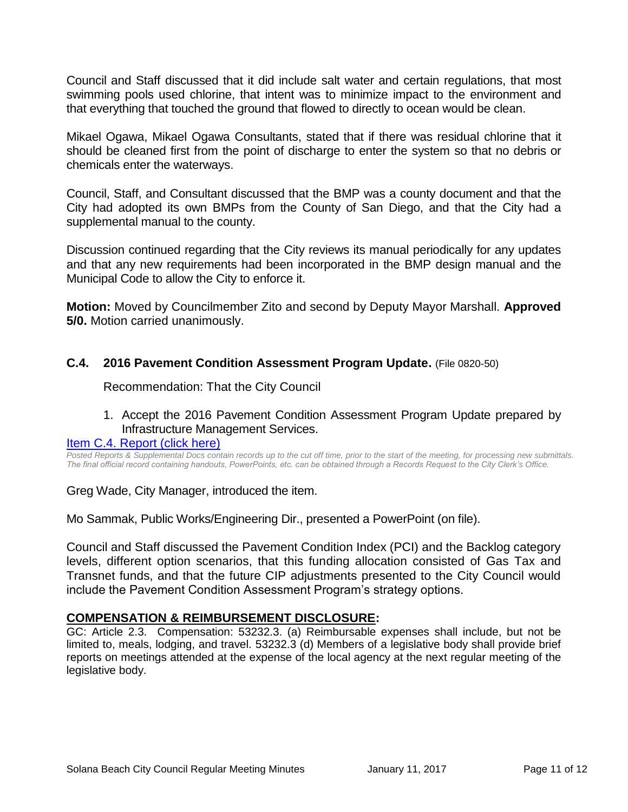Council and Staff discussed that it did include salt water and certain regulations, that most swimming pools used chlorine, that intent was to minimize impact to the environment and that everything that touched the ground that flowed to directly to ocean would be clean.

Mikael Ogawa, Mikael Ogawa Consultants, stated that if there was residual chlorine that it should be cleaned first from the point of discharge to enter the system so that no debris or chemicals enter the waterways.

Council, Staff, and Consultant discussed that the BMP was a county document and that the City had adopted its own BMPs from the County of San Diego, and that the City had a supplemental manual to the county.

Discussion continued regarding that the City reviews its manual periodically for any updates and that any new requirements had been incorporated in the BMP design manual and the Municipal Code to allow the City to enforce it.

**Motion:** Moved by Councilmember Zito and second by Deputy Mayor Marshall. **Approved 5/0.** Motion carried unanimously.

# **C.4. 2016 Pavement Condition Assessment Program Update.** (File 0820-50)

Recommendation: That the City Council

### 1. Accept the 2016 Pavement Condition Assessment Program Update prepared by Infrastructure Management Services.

#### [Item C.4. Report \(click here\)](https://solanabeach.govoffice3.com/vertical/Sites/%7B840804C2-F869-4904-9AE3-720581350CE7%7D/uploads/Item_C.4._Report_(click_here)_01-11-17.PDF)

*Posted Reports & Supplemental Docs contain records up to the cut off time, prior to the start of the meeting, for processing new submittals. The final official record containing handouts, PowerPoints, etc. can be obtained through a Records Request to the City Clerk's Office.*

Greg Wade, City Manager, introduced the item.

Mo Sammak, Public Works/Engineering Dir., presented a PowerPoint (on file).

Council and Staff discussed the Pavement Condition Index (PCI) and the Backlog category levels, different option scenarios, that this funding allocation consisted of Gas Tax and Transnet funds, and that the future CIP adjustments presented to the City Council would include the Pavement Condition Assessment Program's strategy options.

### **COMPENSATION & REIMBURSEMENT DISCLOSURE:**

GC: Article 2.3. Compensation: 53232.3. (a) Reimbursable expenses shall include, but not be limited to, meals, lodging, and travel. 53232.3 (d) Members of a legislative body shall provide brief reports on meetings attended at the expense of the local agency at the next regular meeting of the legislative body.